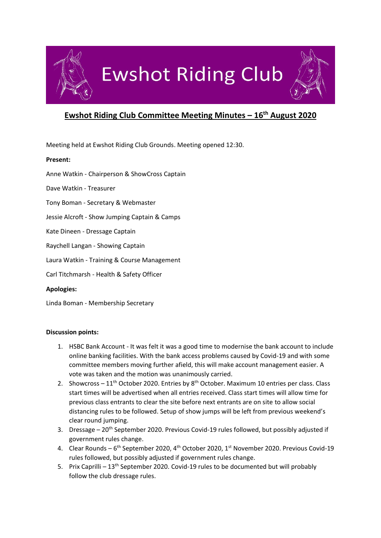

# **Ewshot Riding Club**

# **Ewshot Riding Club Committee Meeting Minutes – 16th August 2020**

Meeting held at Ewshot Riding Club Grounds. Meeting opened 12:30.

## **Present:**

Anne Watkin - Chairperson & ShowCross Captain

Dave Watkin - Treasurer

- Tony Boman Secretary & Webmaster
- Jessie Alcroft Show Jumping Captain & Camps
- Kate Dineen Dressage Captain
- Raychell Langan Showing Captain
- Laura Watkin Training & Course Management
- Carl Titchmarsh Health & Safety Officer

### **Apologies:**

Linda Boman - Membership Secretary

### **Discussion points:**

- 1. HSBC Bank Account It was felt it was a good time to modernise the bank account to include online banking facilities. With the bank access problems caused by Covid-19 and with some committee members moving further afield, this will make account management easier. A vote was taken and the motion was unanimously carried.
- 2. Showcross  $11^{th}$  October 2020. Entries by  $8^{th}$  October. Maximum 10 entries per class. Class start times will be advertised when all entries received. Class start times will allow time for previous class entrants to clear the site before next entrants are on site to allow social distancing rules to be followed. Setup of show jumps will be left from previous weekend's clear round jumping.
- 3. Dressage 20<sup>th</sup> September 2020. Previous Covid-19 rules followed, but possibly adjusted if government rules change.
- 4. Clear Rounds 6<sup>th</sup> September 2020, 4<sup>th</sup> October 2020, 1<sup>st</sup> November 2020. Previous Covid-19 rules followed, but possibly adjusted if government rules change.
- 5. Prix Caprilli 13<sup>th</sup> September 2020. Covid-19 rules to be documented but will probably follow the club dressage rules.